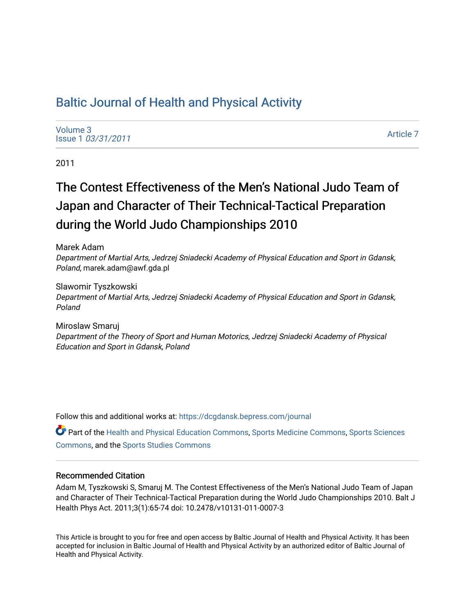# [Baltic Journal of Health and Physical Activity](https://dcgdansk.bepress.com/journal)

[Volume 3](https://dcgdansk.bepress.com/journal/vol3) Issue 1 [03/31/2011](https://dcgdansk.bepress.com/journal/vol3/iss1)

[Article 7](https://dcgdansk.bepress.com/journal/vol3/iss1/7) 

2011

# The Contest Effectiveness of the Men's National Judo Team of Japan and Character of Their Technical-Tactical Preparation during the World Judo Championships 2010

Marek Adam Department of Martial Arts, Jedrzej Sniadecki Academy of Physical Education and Sport in Gdansk, Poland, marek.adam@awf.gda.pl

Slawomir Tyszkowski Department of Martial Arts, Jedrzej Sniadecki Academy of Physical Education and Sport in Gdansk, Poland

Miroslaw Smaruj Department of the Theory of Sport and Human Motorics, Jedrzej Sniadecki Academy of Physical Education and Sport in Gdansk, Poland

Follow this and additional works at: [https://dcgdansk.bepress.com/journal](https://dcgdansk.bepress.com/journal?utm_source=dcgdansk.bepress.com%2Fjournal%2Fvol3%2Fiss1%2F7&utm_medium=PDF&utm_campaign=PDFCoverPages)

Part of the [Health and Physical Education Commons](http://network.bepress.com/hgg/discipline/1327?utm_source=dcgdansk.bepress.com%2Fjournal%2Fvol3%2Fiss1%2F7&utm_medium=PDF&utm_campaign=PDFCoverPages), [Sports Medicine Commons,](http://network.bepress.com/hgg/discipline/1331?utm_source=dcgdansk.bepress.com%2Fjournal%2Fvol3%2Fiss1%2F7&utm_medium=PDF&utm_campaign=PDFCoverPages) [Sports Sciences](http://network.bepress.com/hgg/discipline/759?utm_source=dcgdansk.bepress.com%2Fjournal%2Fvol3%2Fiss1%2F7&utm_medium=PDF&utm_campaign=PDFCoverPages) [Commons](http://network.bepress.com/hgg/discipline/759?utm_source=dcgdansk.bepress.com%2Fjournal%2Fvol3%2Fiss1%2F7&utm_medium=PDF&utm_campaign=PDFCoverPages), and the [Sports Studies Commons](http://network.bepress.com/hgg/discipline/1198?utm_source=dcgdansk.bepress.com%2Fjournal%2Fvol3%2Fiss1%2F7&utm_medium=PDF&utm_campaign=PDFCoverPages) 

#### Recommended Citation

Adam M, Tyszkowski S, Smaruj M. The Contest Effectiveness of the Men's National Judo Team of Japan and Character of Their Technical-Tactical Preparation during the World Judo Championships 2010. Balt J Health Phys Act. 2011;3(1):65-74 doi: 10.2478/v10131-011-0007-3

This Article is brought to you for free and open access by Baltic Journal of Health and Physical Activity. It has been accepted for inclusion in Baltic Journal of Health and Physical Activity by an authorized editor of Baltic Journal of Health and Physical Activity.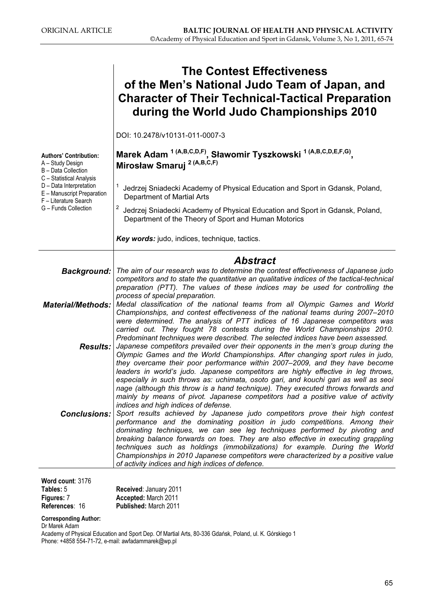|                                                                                                      | <b>The Contest Effectiveness</b><br>of the Men's National Judo Team of Japan, and<br><b>Character of Their Technical-Tactical Preparation</b><br>during the World Judo Championships 2010                                                                                                                                                                                                                                                                                |
|------------------------------------------------------------------------------------------------------|--------------------------------------------------------------------------------------------------------------------------------------------------------------------------------------------------------------------------------------------------------------------------------------------------------------------------------------------------------------------------------------------------------------------------------------------------------------------------|
|                                                                                                      | DOI: 10.2478/v10131-011-0007-3                                                                                                                                                                                                                                                                                                                                                                                                                                           |
| <b>Authors' Contribution:</b><br>A - Study Design<br>B - Data Collection<br>C - Statistical Analysis | Marek Adam <sup>1 (A,B,C,D,F)</sup> , Sławomir Tyszkowski <sup>1 (A,B,C,D,E,F,G)</sup> ,<br>Mirosław Smaruj <sup>2 (A,B,C,F)</sup>                                                                                                                                                                                                                                                                                                                                       |
| D - Data Interpretation<br>E - Manuscript Preparation<br>F - Literature Search                       | Jedrzej Sniadecki Academy of Physical Education and Sport in Gdansk, Poland,<br>Department of Martial Arts                                                                                                                                                                                                                                                                                                                                                               |
| G - Funds Collection                                                                                 | 2<br>Jedrzej Sniadecki Academy of Physical Education and Sport in Gdansk, Poland,<br>Department of the Theory of Sport and Human Motorics                                                                                                                                                                                                                                                                                                                                |
|                                                                                                      | Key words: judo, indices, technique, tactics.                                                                                                                                                                                                                                                                                                                                                                                                                            |
|                                                                                                      | <b>Abstract</b>                                                                                                                                                                                                                                                                                                                                                                                                                                                          |
| <b>Background:</b>                                                                                   | The aim of our research was to determine the contest effectiveness of Japanese judo<br>competitors and to state the quantitative an qualitative indices of the tactical-technical<br>preparation (PTT). The values of these indices may be used for controlling the                                                                                                                                                                                                      |
| <b>Material/Methods:</b>                                                                             | process of special preparation.<br>Medal classification of the national teams from all Olympic Games and World<br>Championships, and contest effectiveness of the national teams during 2007–2010<br>were determined. The analysis of PTT indices of 16 Japanese competitors was                                                                                                                                                                                         |
|                                                                                                      | carried out. They fought 78 contests during the World Championships 2010.<br>Predominant techniques were described. The selected indices have been assessed.<br><b>Results:</b> Japanese competitors prevailed over their opponents in the men's group during the<br>Olympic Games and the World Championships. After changing sport rules in judo,<br>they overcame their poor performance within 2007–2009, and they have become                                       |
| <b>Conclusions:</b>                                                                                  | leaders in world's judo. Japanese competitors are highly effective in leg throws,<br>especially in such throws as: uchimata, osoto gari, and kouchi gari as well as seoi<br>nage (although this throw is a hand technique). They executed throws forwards and<br>mainly by means of pivot. Japanese competitors had a positive value of activity<br>indices and high indices of defense.<br>Sport results achieved by Japanese judo competitors prove their high contest |
|                                                                                                      | performance and the dominating position in judo competitions. Among their<br>dominating techniques, we can see leg techniques performed by pivoting and<br>breaking balance forwards on toes. They are also effective in executing grappling<br>techniques such as holdings (immobilizations) for example. During the World<br>Championships in 2010 Japanese competitors were characterized by a positive value<br>of activity indices and high indices of defence.     |

Word count: 3176 Tables: 5

Received: January 2011 Accepted: March 2011 Published: March 2011

Corresponding Author:

Dr Marek Adam

Figures: 7 References: 16

Academy of Physical Education and Sport Dep. Of Martial Arts, 80-336 Gdańsk, Poland, ul. K. Górskiego 1 Phone: +4858 554-71-72, e-mail: awfadammarek@wp.pl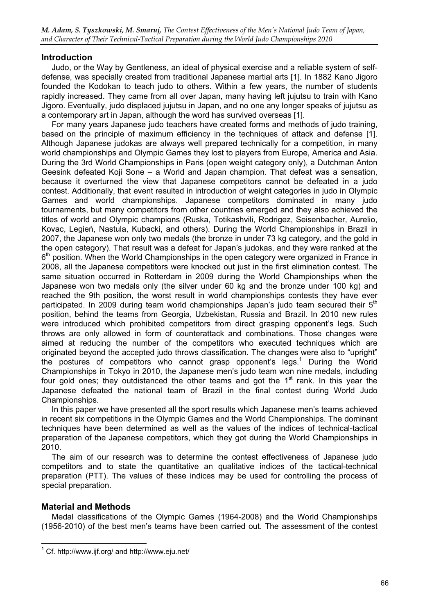# **Introduction**

Judo, or the Way by Gentleness, an ideal of physical exercise and a reliable system of selfdefense, was specially created from traditional Japanese martial arts [1]. In 1882 Kano Jigoro founded the Kodokan to teach judo to others. Within a few years, the number of students rapidly increased. They came from all over Japan, many having left jujutsu to train with Kano Jigoro. Eventually, judo displaced jujutsu in Japan, and no one any longer speaks of jujutsu as a contemporary art in Japan, although the word has survived overseas [1].

For many years Japanese judo teachers have created forms and methods of judo training, based on the principle of maximum efficiency in the techniques of attack and defense [1]. Although Japanese judokas are always well prepared technically for a competition, in many world championships and Olympic Games they lost to players from Europe, America and Asia. During the 3rd World Championships in Paris (open weight category only), a Dutchman Anton Geesink defeated Koji Sone – a World and Japan champion. That defeat was a sensation, because it overturned the view that Japanese competitors cannot be defeated in a judo contest. Additionally, that event resulted in introduction of weight categories in judo in Olympic Games and world championships. Japanese competitors dominated in many judo tournaments, but many competitors from other countries emerged and they also achieved the titles of world and Olympic champions (Ruska, Totikashvili, Rodrigez, Seisenbacher, Aurelio, Kovac, Legień, Nastula, Kubacki, and others). During the World Championships in Brazil in 2007, the Japanese won only two medals (the bronze in under 73 kg category, and the gold in the open category). That result was a defeat for Japan's judokas, and they were ranked at the  $6<sup>th</sup>$  position. When the World Championships in the open category were organized in France in 2008, all the Japanese competitors were knocked out just in the first elimination contest. The same situation occurred in Rotterdam in 2009 during the World Championships when the Japanese won two medals only (the silver under 60 kg and the bronze under 100 kg) and reached the 9th position, the worst result in world championships contests they have ever participated. In 2009 during team world championships Japan's judo team secured their  $5<sup>th</sup>$ position, behind the teams from Georgia, Uzbekistan, Russia and Brazil. In 2010 new rules were introduced which prohibited competitors from direct grasping opponent's legs. Such throws are only allowed in form of counterattack and combinations. Those changes were aimed at reducing the number of the competitors who executed techniques which are originated beyond the accepted judo throws classification. The changes were also to "upright" the postures of competitors who cannot grasp opponent's legs.<sup>1</sup> During the World Championships in Tokyo in 2010, the Japanese men's judo team won nine medals, including four gold ones; they outdistanced the other teams and got the  $1<sup>st</sup>$  rank. In this year the Japanese defeated the national team of Brazil in the final contest during World Judo Championships.

In this paper we have presented all the sport results which Japanese men's teams achieved in recent six competitions in the Olympic Games and the World Championships. The dominant techniques have been determined as well as the values of the indices of technical-tactical preparation of the Japanese competitors, which they got during the World Championships in 2010.

The aim of our research was to determine the contest effectiveness of Japanese judo competitors and to state the quantitative an qualitative indices of the tactical-technical preparation (PTT). The values of these indices may be used for controlling the process of special preparation.

# Material and Methods

Medal classifications of the Olympic Games (1964-2008) and the World Championships (1956-2010) of the best men's teams have been carried out. The assessment of the contest

<sup>1</sup> Cf. http://www.ijf.org/ and http://www.eju.net/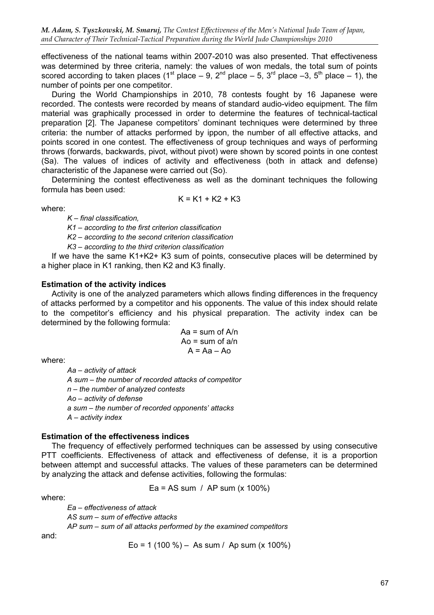effectiveness of the national teams within 2007-2010 was also presented. That effectiveness was determined by three criteria, namely: the values of won medals, the total sum of points scored according to taken places (1<sup>st</sup> place – 9, 2<sup>nd</sup> place – 5, 3<sup>rd</sup> place –3, 5<sup>th</sup> place – 1), the number of points per one competitor.

During the World Championships in 2010, 78 contests fought by 16 Japanese were recorded. The contests were recorded by means of standard audio-video equipment. The film material was graphically processed in order to determine the features of technical-tactical preparation [2]. The Japanese competitors' dominant techniques were determined by three criteria: the number of attacks performed by ippon, the number of all effective attacks, and points scored in one contest. The effectiveness of group techniques and ways of performing throws (forwards, backwards, pivot, without pivot) were shown by scored points in one contest (Sa). The values of indices of activity and effectiveness (both in attack and defense) characteristic of the Japanese were carried out (So).

Determining the contest effectiveness as well as the dominant techniques the following formula has been used:  $K = K1 + K2 + K3$ 

where:

 $K$  – final classification,

K1 – according to the first criterion classification

K2 – according to the second criterion classification

K3 – according to the third criterion classification

If we have the same K1+K2+ K3 sum of points, consecutive places will be determined by a higher place in K1 ranking, then K2 and K3 finally.

#### Estimation of the activity indices

Activity is one of the analyzed parameters which allows finding differences in the frequency of attacks performed by a competitor and his opponents. The value of this index should relate to the competitor's efficiency and his physical preparation. The activity index can be determined by the following formula:

$$
Aa = sum of A/n
$$
  

$$
Ao = sum of a/n
$$
  

$$
A = Aa - Ao
$$

where:

Aa – activity of attack A sum – the number of recorded attacks of competitor n – the number of analyzed contests Ao – activity of defense a sum – the number of recorded opponents' attacks A – activity index

#### Estimation of the effectiveness indices

The frequency of effectively performed techniques can be assessed by using consecutive PTT coefficients. Effectiveness of attack and effectiveness of defense, it is a proportion between attempt and successful attacks. The values of these parameters can be determined by analyzing the attack and defense activities, following the formulas:

Ea = AS sum / AP sum (x 100%)

where:

Ea – effectiveness of attack AS sum – sum of effective attacks AP sum – sum of all attacks performed by the examined competitors

and:

Eo = 1 (100 %) – As sum / Ap sum (x 100%)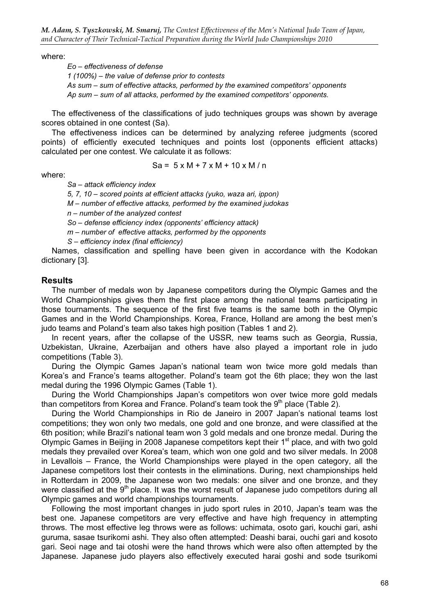where:

Eo – effectiveness of defense 1 (100%) – the value of defense prior to contests As sum – sum of effective attacks, performed by the examined competitors' opponents Ap sum – sum of all attacks, performed by the examined competitors' opponents.

The effectiveness of the classifications of judo techniques groups was shown by average scores obtained in one contest (Sa).

The effectiveness indices can be determined by analyzing referee judgments (scored points) of efficiently executed techniques and points lost (opponents efficient attacks) calculated per one contest. We calculate it as follows:

 $Sa = 5 \times M + 7 \times M + 10 \times M / n$ 

where:

Sa – attack efficiency index

5, 7, 10 – scored points at efficient attacks (yuko, waza ari, ippon)

M – number of effective attacks, performed by the examined judokas

n – number of the analyzed contest

So – defense efficiency index (opponents' efficiency attack)

m – number of effective attacks, performed by the opponents

S – efficiency index (final efficiency)

Names, classification and spelling have been given in accordance with the Kodokan dictionary [3].

### **Results**

The number of medals won by Japanese competitors during the Olympic Games and the World Championships gives them the first place among the national teams participating in those tournaments. The sequence of the first five teams is the same both in the Olympic Games and in the World Championships. Korea, France, Holland are among the best men's judo teams and Poland's team also takes high position (Tables 1 and 2).

In recent years, after the collapse of the USSR, new teams such as Georgia, Russia, Uzbekistan, Ukraine, Azerbaijan and others have also played a important role in judo competitions (Table 3).

During the Olympic Games Japan's national team won twice more gold medals than Korea's and France's teams altogether. Poland's team got the 6th place; they won the last medal during the 1996 Olympic Games (Table 1).

During the World Championships Japan's competitors won over twice more gold medals than competitors from Korea and France. Poland's team took the  $9<sup>th</sup>$  place (Table 2).

During the World Championships in Rio de Janeiro in 2007 Japan's national teams lost competitions; they won only two medals, one gold and one bronze, and were classified at the 6th position; while Brazil's national team won 3 gold medals and one bronze medal. During the Olympic Games in Beijing in 2008 Japanese competitors kept their 1<sup>st</sup> place, and with two gold medals they prevailed over Korea's team, which won one gold and two silver medals. In 2008 in Levallois – France, the World Championships were played in the open category, all the Japanese competitors lost their contests in the eliminations. During, next championships held in Rotterdam in 2009, the Japanese won two medals: one silver and one bronze, and they were classified at the 9<sup>th</sup> place. It was the worst result of Japanese judo competitors during all Olympic games and world championships tournaments.

Following the most important changes in judo sport rules in 2010, Japan's team was the best one. Japanese competitors are very effective and have high frequency in attempting throws. The most effective leg throws were as follows: uchimata, osoto gari, kouchi gari, ashi guruma, sasae tsurikomi ashi. They also often attempted: Deashi barai, ouchi gari and kosoto gari. Seoi nage and tai otoshi were the hand throws which were also often attempted by the Japanese. Japanese judo players also effectively executed harai goshi and sode tsurikomi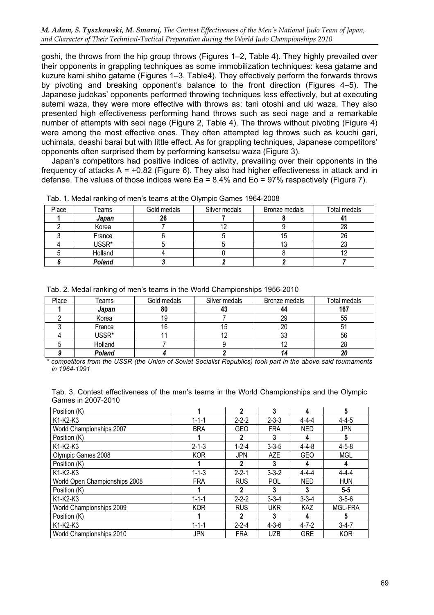goshi, the throws from the hip group throws (Figures 1–2, Table 4). They highly prevailed over their opponents in grappling techniques as some immobilization techniques: kesa gatame and kuzure kami shiho gatame (Figures 1–3, Table4). They effectively perform the forwards throws by pivoting and breaking opponent's balance to the front direction (Figures 4–5). The Japanese judokas' opponents performed throwing techniques less effectively, but at executing sutemi waza, they were more effective with throws as: tani otoshi and uki waza. They also presented high effectiveness performing hand throws such as seoi nage and a remarkable number of attempts with seoi nage (Figure 2, Table 4). The throws without pivoting (Figure 4) were among the most effective ones. They often attempted leg throws such as kouchi gari, uchimata, deashi barai but with little effect. As for grappling techniques, Japanese competitors' opponents often surprised them by performing kansetsu waza (Figure 3).

Japan's competitors had positive indices of activity, prevailing over their opponents in the frequency of attacks  $A = +0.82$  (Figure 6). They also had higher effectiveness in attack and in defense. The values of those indices were Ea = 8.4% and Eo = 97% respectively (Figure 7).

| Place | Teams   | Gold medals | Silver medals | Bronze medals | Total medals |
|-------|---------|-------------|---------------|---------------|--------------|
|       | Japan   |             |               |               |              |
|       | Korea   |             |               |               |              |
|       | France  |             |               | כו            | 26           |
|       | USSR*   |             |               | ں ا           | دے           |
|       | Holland |             |               |               |              |
|       | Poland  |             |               |               |              |

Tab. 1. Medal ranking of men's teams at the Olympic Games 1964-2008

|  |  |  |  | Tab. 2. Medal ranking of men's teams in the World Championships 1956-2010 |
|--|--|--|--|---------------------------------------------------------------------------|
|  |  |  |  |                                                                           |

| Place | Teams   | Gold medals | Silver medals | Bronze medals | Total medals |
|-------|---------|-------------|---------------|---------------|--------------|
|       | Japan   | 80          |               | 44            | 167          |
|       | Korea   | 19          |               | 29            | 55           |
|       | France  |             | 15            | 20            |              |
|       | USSR*   |             |               | 33            | 56           |
|       | Holland |             |               |               | 28           |
|       | Poland  |             |               |               |              |

\* competitors from the USSR (the Union of Soviet Socialist Republics) took part in the above said tournaments in 1964-1991

| Tab. 3. Contest effectiveness of the men's teams in the World Championships and the Olympic |  |  |  |  |  |
|---------------------------------------------------------------------------------------------|--|--|--|--|--|
| Games in 2007-2010                                                                          |  |  |  |  |  |

| Position (K)                  |             | $\mathbf 2$  | 3           | 4           | 5              |
|-------------------------------|-------------|--------------|-------------|-------------|----------------|
| K1-K2-K3                      | $1 - 1 - 1$ | $2 - 2 - 2$  | $2 - 3 - 3$ | $4 - 4 - 4$ | $4 - 4 - 5$    |
| World Championships 2007      | <b>BRA</b>  | <b>GEO</b>   | <b>FRA</b>  | <b>NED</b>  | <b>JPN</b>     |
| Position (K)                  |             | 2            | 3           | 4           | 5              |
| K1-K2-K3                      | $2 - 1 - 3$ | $1 - 2 - 4$  | $3 - 3 - 5$ | $4 - 4 - 8$ | $4 - 5 - 8$    |
| Olympic Games 2008            | <b>KOR</b>  | <b>JPN</b>   | <b>AZE</b>  | <b>GEO</b>  | <b>MGL</b>     |
| Position (K)                  |             | 2            | 3           | 4           | 4              |
| K1-K2-K3                      | $1 - 1 - 3$ | $2 - 2 - 1$  | $3 - 3 - 2$ | $4 - 4 - 4$ | $4 - 4 - 4$    |
| World Open Championships 2008 | <b>FRA</b>  | <b>RUS</b>   | <b>POL</b>  | <b>NED</b>  | <b>HUN</b>     |
| Position (K)                  |             | 2            | 3           | 3           | $5 - 5$        |
| K1-K2-K3                      | $1 - 1 - 1$ | $2 - 2 - 2$  | $3 - 3 - 4$ | $3 - 3 - 4$ | $3 - 5 - 6$    |
| World Championships 2009      | <b>KOR</b>  | <b>RUS</b>   | <b>UKR</b>  | <b>KAZ</b>  | <b>MGL-FRA</b> |
| Position (K)                  |             | $\mathbf{2}$ | 3           | 4           | 5              |
| K1-K2-K3                      | $1 - 1 - 1$ | $2 - 2 - 4$  | $4 - 3 - 6$ | $4 - 7 - 2$ | $3 - 4 - 7$    |
| World Championships 2010      | JPN         | <b>FRA</b>   | <b>UZB</b>  | <b>GRE</b>  | <b>KOR</b>     |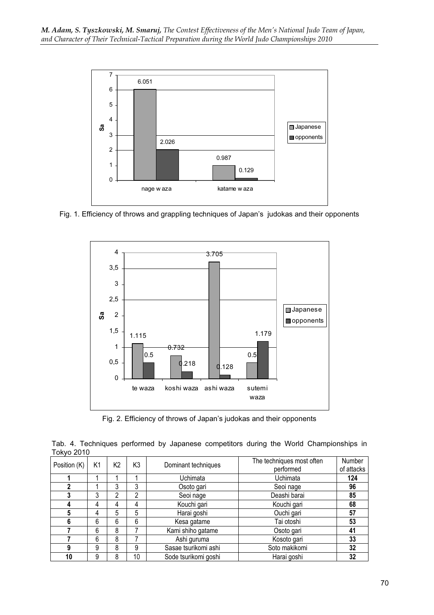

Fig. 1. Efficiency of throws and grappling techniques of Japan's judokas and their opponents



Fig. 2. Efficiency of throws of Japan's judokas and their opponents

Tab. 4. Techniques performed by Japanese competitors during the World Championships in Tokyo 2010

| Position (K) | K1 | K2 | K3 | Dominant techniques  | The techniques most often<br>performed | Number<br>of attacks |
|--------------|----|----|----|----------------------|----------------------------------------|----------------------|
|              |    |    |    | Uchimata             | Uchimata                               | 124                  |
|              |    | 3  | 3  | Osoto gari           | Seoi nage                              | 96                   |
|              | 3  | 2  | 2  | Seoi nage            | Deashi barai                           | 85                   |
|              | 4  | 4  | 4  | Kouchi gari          | Kouchi gari                            | 68                   |
| 5            | 4  | 5  | 5  | Harai goshi          | Ouchi gari                             | 57                   |
| 6            | 6  | 6  | 6  | Kesa gatame          | Tai otoshi                             | 53                   |
|              | 6  | 8  |    | Kami shiho gatame    | Osoto gari                             | 41                   |
|              | 6  | 8  |    | Ashi guruma          | Kosoto gari                            | 33                   |
| 9            | 9  | 8  | 9  | Sasae tsurikomi ashi | Soto makikomi                          | 32                   |
| 10           | 9  | 8  | 10 | Sode tsurikomi goshi | Harai goshi                            | 32                   |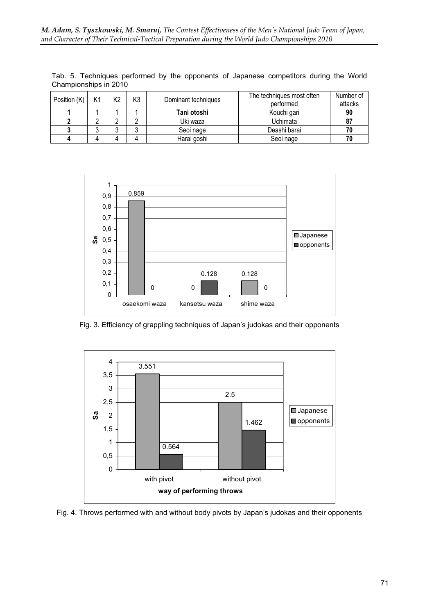| Position $(K)$ | K1 | K2 | K <sub>3</sub> | Dominant techniques | The techniques most often<br>performed | Number of<br>attacks |
|----------------|----|----|----------------|---------------------|----------------------------------------|----------------------|
|                |    |    |                | Tani otoshi         | Kouchi gari                            | 90                   |
|                |    |    |                | Uki waza            | Uchimata                               | 87                   |
|                |    |    |                | Seoi nage           | Deashi barai                           |                      |
|                |    |    |                | Harai goshi         | Seoi nage                              |                      |

Tab. 5. Techniques performed by the opponents of Japanese competitors during the World Championships in 2010



Fig. 3. Efficiency of grappling techniques of Japan's judokas and their opponents



Fig. 4. Throws performed with and without body pivots by Japan's judokas and their opponents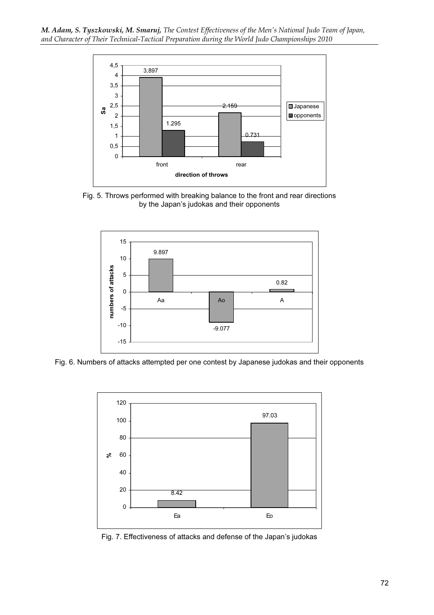

Fig. 5. Throws performed with breaking balance to the front and rear directions by the Japan's judokas and their opponents



Fig. 6. Numbers of attacks attempted per one contest by Japanese judokas and their opponents



Fig. 7. Effectiveness of attacks and defense of the Japan's judokas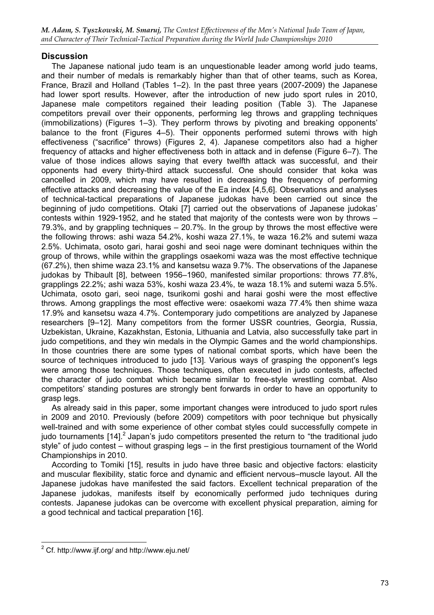# **Discussion**

The Japanese national judo team is an unquestionable leader among world judo teams, and their number of medals is remarkably higher than that of other teams, such as Korea, France, Brazil and Holland (Tables 1–2). In the past three years (2007-2009) the Japanese had lower sport results. However, after the introduction of new judo sport rules in 2010, Japanese male competitors regained their leading position (Table 3). The Japanese competitors prevail over their opponents, performing leg throws and grappling techniques (immobilizations) (Figures 1–3). They perform throws by pivoting and breaking opponents' balance to the front (Figures 4–5). Their opponents performed sutemi throws with high effectiveness ("sacrifice" throws) (Figures 2, 4). Japanese competitors also had a higher frequency of attacks and higher effectiveness both in attack and in defense (Figure 6–7). The value of those indices allows saying that every twelfth attack was successful, and their opponents had every thirty-third attack successful. One should consider that koka was cancelled in 2009, which may have resulted in decreasing the frequency of performing effective attacks and decreasing the value of the Ea index [4,5,6]. Observations and analyses of technical-tactical preparations of Japanese judokas have been carried out since the beginning of judo competitions. Otaki [7] carried out the observations of Japanese judokas' contests within 1929-1952, and he stated that majority of the contests were won by throws – 79.3%, and by grappling techniques – 20.7%. In the group by throws the most effective were the following throws: ashi waza 54.2%, koshi waza 27.1%, te waza 16.2% and sutemi waza 2.5%. Uchimata, osoto gari, harai goshi and seoi nage were dominant techniques within the group of throws, while within the grapplings osaekomi waza was the most effective technique (67.2%), then shime waza 23.1% and kansetsu waza 9.7%. The observations of the Japanese judokas by Thibault [8], between 1956–1960, manifested similar proportions: throws 77.8%, grapplings 22.2%; ashi waza 53%, koshi waza 23.4%, te waza 18.1% and sutemi waza 5.5%. Uchimata, osoto gari, seoi nage, tsurikomi goshi and harai goshi were the most effective throws. Among grapplings the most effective were: osaekomi waza 77.4% then shime waza 17.9% and kansetsu waza 4.7%. Contemporary judo competitions are analyzed by Japanese researchers [9–12]. Many competitors from the former USSR countries, Georgia, Russia, Uzbekistan, Ukraine, Kazakhstan, Estonia, Lithuania and Latvia, also successfully take part in judo competitions, and they win medals in the Olympic Games and the world championships. In those countries there are some types of national combat sports, which have been the source of techniques introduced to judo [13]. Various ways of grasping the opponent's legs were among those techniques. Those techniques, often executed in judo contests, affected the character of judo combat which became similar to free-style wrestling combat. Also competitors' standing postures are strongly bent forwards in order to have an opportunity to grasp legs.

As already said in this paper, some important changes were introduced to judo sport rules in 2009 and 2010. Previously (before 2009) competitors with poor technique but physically well-trained and with some experience of other combat styles could successfully compete in judo tournaments  $[14]$ .<sup>2</sup> Japan's judo competitors presented the return to "the traditional judo" style" of judo contest – without grasping legs – in the first prestigious tournament of the World Championships in 2010.

According to Tomiki [15], results in judo have three basic and objective factors: elasticity and muscular flexibility, static force and dynamic and efficient nervous–muscle layout. All the Japanese judokas have manifested the said factors. Excellent technical preparation of the Japanese judokas, manifests itself by economically performed judo techniques during contests. Japanese judokas can be overcome with excellent physical preparation, aiming for a good technical and tactical preparation [16].

 $2$  Cf. http://www.ijf.org/ and http://www.eju.net/